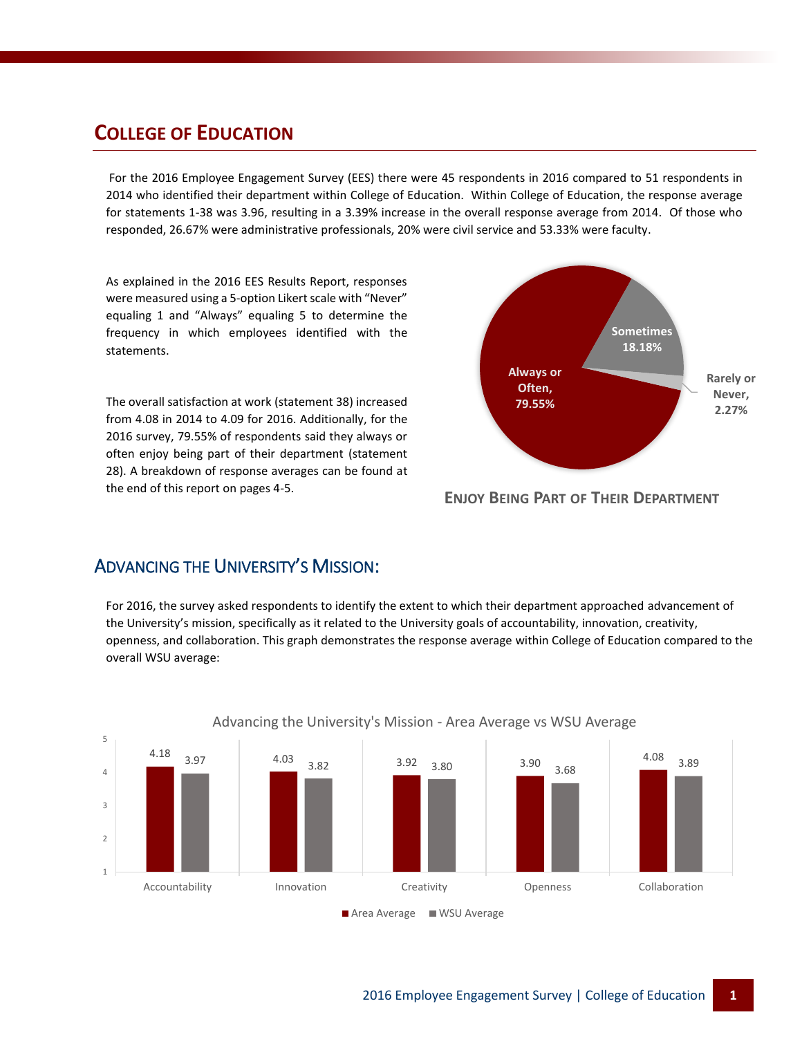#### **COLLEGE OF EDUCATION**

For the 2016 Employee Engagement Survey (EES) there were 45 respondents in 2016 compared to 51 respondents in 2014 who identified their department within College of Education. Within College of Education, the response average for statements 1-38 was 3.96, resulting in a 3.39% increase in the overall response average from 2014. Of those who responded, 26.67% were administrative professionals, 20% were civil service and 53.33% were faculty.

As explained in the 2016 EES Results Report, responses were measured using a 5-option Likert scale with "Never" equaling 1 and "Always" equaling 5 to determine the frequency in which employees identified with the statements.

The overall satisfaction at work (statement 38) increased from 4.08 in 2014 to 4.09 for 2016. Additionally, for the 2016 survey, 79.55% of respondents said they always or often enjoy being part of their department (statement 28). A breakdown of response averages can be found at the end of this report on pages 4-5.



**ENJOY BEING PART OF THEIR DEPARTMENT**

#### ADVANCING THE UNIVERSITY'S MISSION:

For 2016, the survey asked respondents to identify the extent to which their department approached advancement of the University's mission, specifically as it related to the University goals of accountability, innovation, creativity, openness, and collaboration. This graph demonstrates the response average within College of Education compared to the overall WSU average:



#### Advancing the University's Mission - Area Average vs WSU Average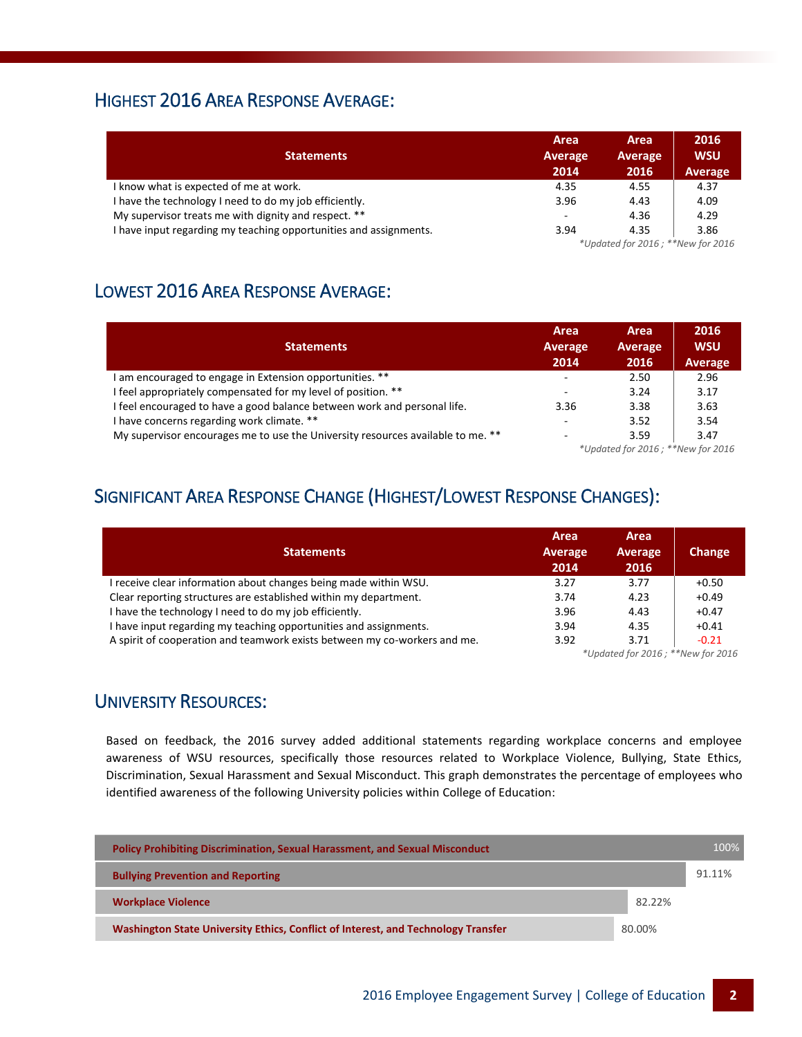#### HIGHEST 2016 AREA RESPONSE AVERAGE:

| <b>Statements</b>                                                 | Area<br><b>Average</b><br>2014 | Area<br>Average<br>2016           | 2016<br><b>WSU</b><br>Average |  |
|-------------------------------------------------------------------|--------------------------------|-----------------------------------|-------------------------------|--|
| I know what is expected of me at work.                            | 4.35                           | 4.55                              | 4.37                          |  |
| I have the technology I need to do my job efficiently.            | 3.96                           | 4.43                              | 4.09                          |  |
| My supervisor treats me with dignity and respect. **              | ۰                              | 4.36                              | 4.29                          |  |
| I have input regarding my teaching opportunities and assignments. | 3.94                           | 4.35                              | 3.86                          |  |
|                                                                   |                                | *Updated for 2016; **New for 2016 |                               |  |

### LOWEST 2016 AREA RESPONSE AVERAGE:

| <b>Statements</b>                                                               | Area<br><b>Average</b><br>2014    | Area<br>Average<br>2016 | 2016<br><b>WSU</b><br><b>Average</b> |
|---------------------------------------------------------------------------------|-----------------------------------|-------------------------|--------------------------------------|
| I am encouraged to engage in Extension opportunities. **                        | $\overline{\phantom{a}}$          | 2.50                    | 2.96                                 |
| I feel appropriately compensated for my level of position. **                   | ۰                                 | 3.24                    | 3.17                                 |
| I feel encouraged to have a good balance between work and personal life.        | 3.36                              | 3.38                    | 3.63                                 |
| I have concerns regarding work climate. **                                      | -                                 | 3.52                    | 3.54                                 |
| My supervisor encourages me to use the University resources available to me. ** |                                   | 3.59                    | 3.47                                 |
|                                                                                 | *Updated for 2016; **New for 2016 |                         |                                      |

## SIGNIFICANT AREA RESPONSE CHANGE (HIGHEST/LOWEST RESPONSE CHANGES):

| <b>Statements</b>                                                         | Area<br>Average<br>2014 | Area<br>Average<br>2016 | Change  |
|---------------------------------------------------------------------------|-------------------------|-------------------------|---------|
| I receive clear information about changes being made within WSU.          | 3.27                    | 3.77                    | $+0.50$ |
| Clear reporting structures are established within my department.          | 3.74                    | 4.23                    | $+0.49$ |
| I have the technology I need to do my job efficiently.                    | 3.96                    | 4.43                    | $+0.47$ |
| I have input regarding my teaching opportunities and assignments.         | 3.94                    | 4.35                    | $+0.41$ |
| A spirit of cooperation and teamwork exists between my co-workers and me. | 3.92                    | 3.71                    | $-0.21$ |

*\*Updated for 2016 ; \*\*New for 2016*

#### UNIVERSITY RESOURCES:

Based on feedback, the 2016 survey added additional statements regarding workplace concerns and employee awareness of WSU resources, specifically those resources related to Workplace Violence, Bullying, State Ethics, Discrimination, Sexual Harassment and Sexual Misconduct. This graph demonstrates the percentage of employees who identified awareness of the following University policies within College of Education:

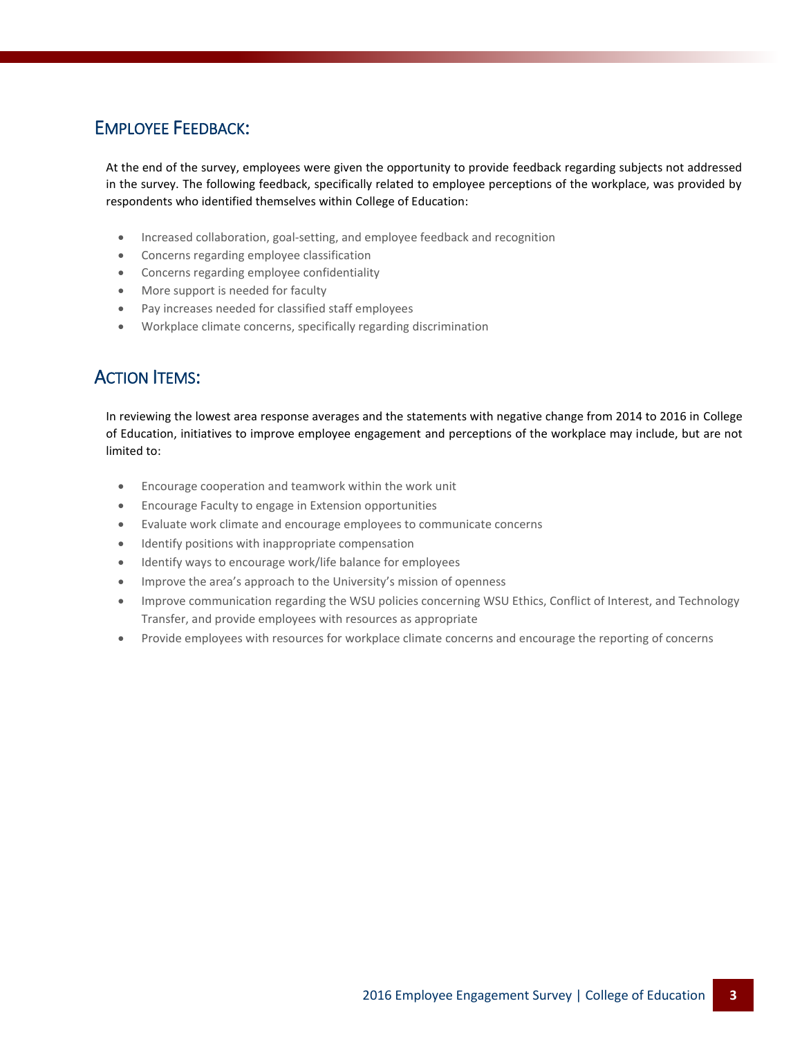### EMPLOYEE FEEDBACK:

At the end of the survey, employees were given the opportunity to provide feedback regarding subjects not addressed in the survey. The following feedback, specifically related to employee perceptions of the workplace, was provided by respondents who identified themselves within College of Education:

- Increased collaboration, goal-setting, and employee feedback and recognition
- Concerns regarding employee classification
- Concerns regarding employee confidentiality
- More support is needed for faculty
- Pay increases needed for classified staff employees
- Workplace climate concerns, specifically regarding discrimination

### ACTION ITEMS:

In reviewing the lowest area response averages and the statements with negative change from 2014 to 2016 in College of Education, initiatives to improve employee engagement and perceptions of the workplace may include, but are not limited to:

- Encourage cooperation and teamwork within the work unit
- Encourage Faculty to engage in Extension opportunities
- Evaluate work climate and encourage employees to communicate concerns
- Identify positions with inappropriate compensation
- Identify ways to encourage work/life balance for employees
- Improve the area's approach to the University's mission of openness
- Improve communication regarding the WSU policies concerning WSU Ethics, Conflict of Interest, and Technology Transfer, and provide employees with resources as appropriate
- Provide employees with resources for workplace climate concerns and encourage the reporting of concerns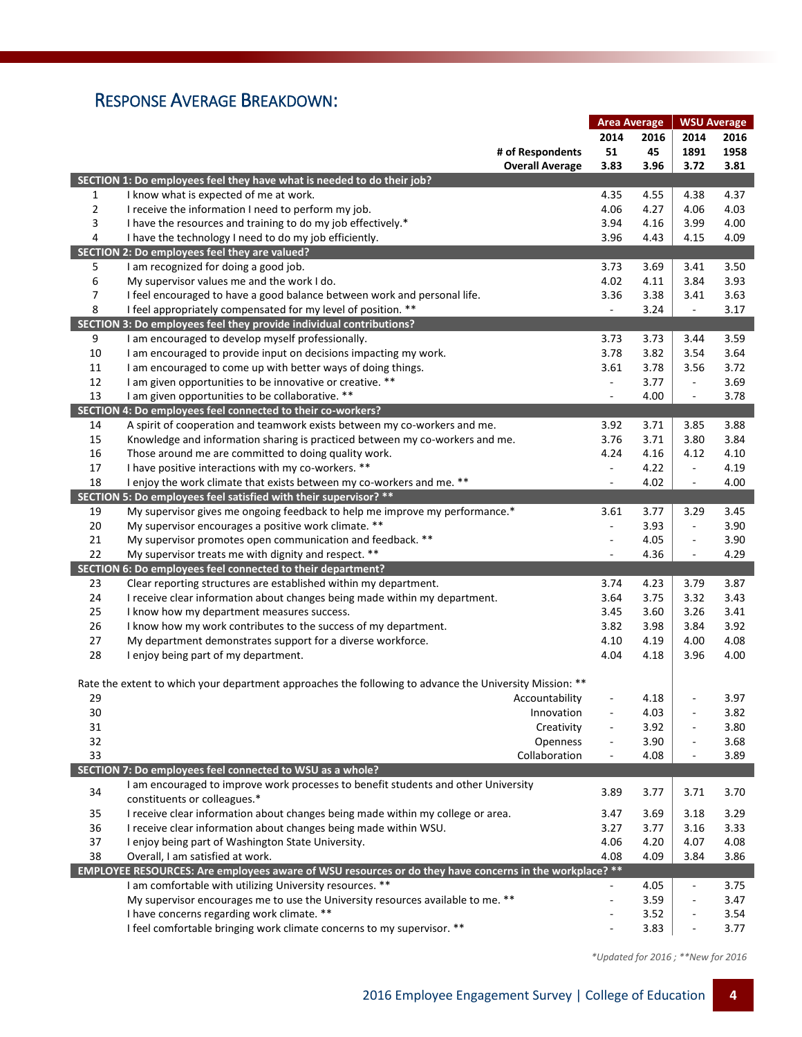### RESPONSE AVERAGE BREAKDOWN:

|                |                                                                                                         | <b>Area Average</b>      |      | <b>WSU Average</b>       |      |
|----------------|---------------------------------------------------------------------------------------------------------|--------------------------|------|--------------------------|------|
|                |                                                                                                         |                          | 2016 | 2014                     | 2016 |
|                | # of Respondents                                                                                        | 51                       | 45   | 1891                     | 1958 |
|                | <b>Overall Average</b>                                                                                  | 3.83                     | 3.96 | 3.72                     | 3.81 |
|                | SECTION 1: Do employees feel they have what is needed to do their job?                                  |                          |      |                          |      |
| $\mathbf{1}$   | I know what is expected of me at work.                                                                  | 4.35                     | 4.55 | 4.38                     | 4.37 |
| $\overline{2}$ | I receive the information I need to perform my job.                                                     | 4.06                     | 4.27 | 4.06                     | 4.03 |
| 3              | I have the resources and training to do my job effectively.*                                            | 3.94                     | 4.16 | 3.99                     | 4.00 |
|                |                                                                                                         |                          |      |                          |      |
| 4              | I have the technology I need to do my job efficiently.                                                  | 3.96                     | 4.43 | 4.15                     | 4.09 |
|                | SECTION 2: Do employees feel they are valued?                                                           |                          |      |                          |      |
| 5              | I am recognized for doing a good job.                                                                   | 3.73                     | 3.69 | 3.41                     | 3.50 |
| 6              | My supervisor values me and the work I do.                                                              | 4.02                     | 4.11 | 3.84                     | 3.93 |
| 7              | I feel encouraged to have a good balance between work and personal life.                                | 3.36                     | 3.38 | 3.41                     | 3.63 |
| 8              | I feel appropriately compensated for my level of position. **                                           | $\Box$                   | 3.24 | $\Box$                   | 3.17 |
|                | SECTION 3: Do employees feel they provide individual contributions?                                     |                          |      |                          |      |
| 9              | I am encouraged to develop myself professionally.                                                       | 3.73                     | 3.73 | 3.44                     | 3.59 |
| 10             | I am encouraged to provide input on decisions impacting my work.                                        | 3.78                     | 3.82 | 3.54                     | 3.64 |
| 11             | I am encouraged to come up with better ways of doing things.                                            | 3.61                     | 3.78 | 3.56                     | 3.72 |
| 12             | I am given opportunities to be innovative or creative. **                                               | $\blacksquare$           | 3.77 | $\Box$                   | 3.69 |
| 13             | I am given opportunities to be collaborative. **                                                        | $\overline{\phantom{a}}$ | 4.00 | $\overline{\phantom{a}}$ | 3.78 |
|                | SECTION 4: Do employees feel connected to their co-workers?                                             |                          |      |                          |      |
| 14             | A spirit of cooperation and teamwork exists between my co-workers and me.                               | 3.92                     | 3.71 | 3.85                     | 3.88 |
| 15             | Knowledge and information sharing is practiced between my co-workers and me.                            | 3.76                     | 3.71 | 3.80                     | 3.84 |
| 16             | Those around me are committed to doing quality work.                                                    | 4.24                     | 4.16 | 4.12                     | 4.10 |
| 17             | I have positive interactions with my co-workers. **                                                     | $\blacksquare$           | 4.22 | $\Box$                   | 4.19 |
| 18             | I enjoy the work climate that exists between my co-workers and me. **                                   | $\overline{\phantom{m}}$ | 4.02 | $\blacksquare$           | 4.00 |
|                | SECTION 5: Do employees feel satisfied with their supervisor? **                                        |                          |      |                          |      |
|                |                                                                                                         |                          |      |                          |      |
| 19             | My supervisor gives me ongoing feedback to help me improve my performance.*                             | 3.61                     | 3.77 | 3.29                     | 3.45 |
| 20             | My supervisor encourages a positive work climate. **                                                    | ÷.                       | 3.93 | $\overline{\phantom{a}}$ | 3.90 |
| 21             | My supervisor promotes open communication and feedback. **                                              | $\overline{\phantom{a}}$ | 4.05 | $\blacksquare$           | 3.90 |
| 22             | My supervisor treats me with dignity and respect. **                                                    | $\overline{\phantom{a}}$ | 4.36 | $\blacksquare$           | 4.29 |
|                | SECTION 6: Do employees feel connected to their department?                                             |                          |      |                          |      |
| 23             | Clear reporting structures are established within my department.                                        | 3.74                     | 4.23 | 3.79                     | 3.87 |
| 24             | I receive clear information about changes being made within my department.                              | 3.64                     | 3.75 | 3.32                     | 3.43 |
| 25             | I know how my department measures success.                                                              | 3.45                     | 3.60 | 3.26                     | 3.41 |
| 26             | I know how my work contributes to the success of my department.                                         | 3.82                     | 3.98 | 3.84                     | 3.92 |
| 27             | My department demonstrates support for a diverse workforce.                                             | 4.10                     | 4.19 | 4.00                     | 4.08 |
| 28             | I enjoy being part of my department.                                                                    | 4.04                     | 4.18 | 3.96                     | 4.00 |
|                |                                                                                                         |                          |      |                          |      |
|                | Rate the extent to which your department approaches the following to advance the University Mission: ** |                          |      |                          |      |
| 29             | Accountability                                                                                          |                          | 4.18 |                          | 3.97 |
| 30             | Innovation                                                                                              |                          | 4.03 | $\blacksquare$           | 3.82 |
| 31             | Creativity                                                                                              |                          | 3.92 | ÷.                       | 3.80 |
| 32             | Openness                                                                                                | $\overline{\phantom{m}}$ | 3.90 | $\overline{\phantom{a}}$ | 3.68 |
| 33             | Collaboration                                                                                           | $\overline{\phantom{m}}$ | 4.08 | ÷,                       | 3.89 |
|                | SECTION 7: Do employees feel connected to WSU as a whole?                                               |                          |      |                          |      |
|                | I am encouraged to improve work processes to benefit students and other University                      |                          |      |                          |      |
| 34             | constituents or colleagues.*                                                                            | 3.89                     | 3.77 | 3.71                     | 3.70 |
| 35             | I receive clear information about changes being made within my college or area.                         | 3.47                     | 3.69 | 3.18                     | 3.29 |
| 36             | I receive clear information about changes being made within WSU.                                        | 3.27                     | 3.77 | 3.16                     | 3.33 |
| 37             | I enjoy being part of Washington State University.                                                      | 4.06                     | 4.20 | 4.07                     | 4.08 |
| 38             | Overall, I am satisfied at work.                                                                        | 4.08                     | 4.09 | 3.84                     | 3.86 |
|                | EMPLOYEE RESOURCES: Are employees aware of WSU resources or do they have concerns in the workplace? **  |                          |      |                          |      |
|                | I am comfortable with utilizing University resources. **                                                | $\mathbb{L}$             | 4.05 | $\overline{\phantom{a}}$ | 3.75 |
|                | My supervisor encourages me to use the University resources available to me. **                         | $\overline{\phantom{a}}$ | 3.59 | $\blacksquare$           | 3.47 |
|                | I have concerns regarding work climate. **                                                              |                          | 3.52 |                          | 3.54 |
|                |                                                                                                         |                          |      | $\overline{\phantom{a}}$ |      |
|                | I feel comfortable bringing work climate concerns to my supervisor. **                                  |                          | 3.83 | $\blacksquare$           | 3.77 |

 *\*Updated for 2016 ; \*\*New for 2016*